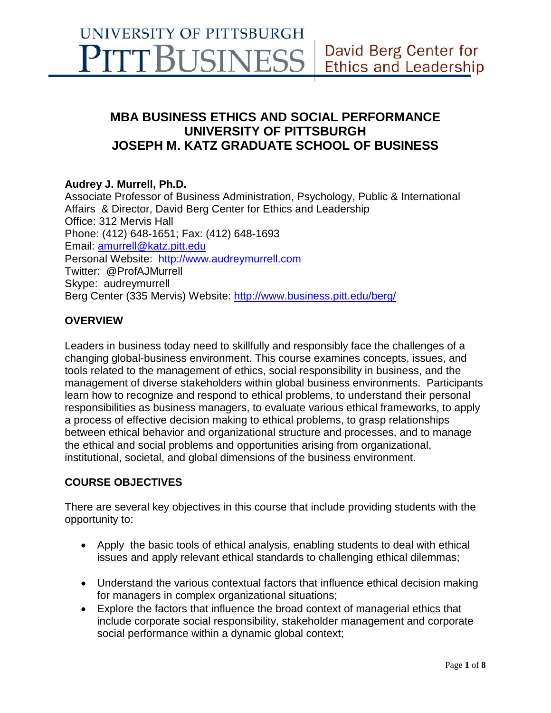# **MBA BUSINESS ETHICS AND SOCIAL PERFORMANCE UNIVERSITY OF PITTSBURGH JOSEPH M. KATZ GRADUATE SCHOOL OF BUSINESS**

## **Audrey J. Murrell, Ph.D.**

Associate Professor of Business Administration, Psychology, Public & International Affairs & Director, David Berg Center for Ethics and Leadership Office: 312 Mervis Hall Phone: (412) 648-1651; Fax: (412) 648-1693 Email: [amurrell@katz.pitt.edu](mailto:amurrell@katz.pitt.edu) Personal Website: [http://www.audreymurrell.com](http://www.audreymurrell.com/) Twitter: @ProfAJMurrell Skype: audreymurrell Berg Center (335 Mervis) Website:<http://www.business.pitt.edu/berg/>

# **OVERVIEW**

Leaders in business today need to skillfully and responsibly face the challenges of a changing global-business environment. This course examines concepts, issues, and tools related to the management of ethics, social responsibility in business, and the management of diverse stakeholders within global business environments. Participants learn how to recognize and respond to ethical problems, to understand their personal responsibilities as business managers, to evaluate various ethical frameworks, to apply a process of effective decision making to ethical problems, to grasp relationships between ethical behavior and organizational structure and processes, and to manage the ethical and social problems and opportunities arising from organizational, institutional, societal, and global dimensions of the business environment.

## **COURSE OBJECTIVES**

There are several key objectives in this course that include providing students with the opportunity to:

- Apply the basic tools of ethical analysis, enabling students to deal with ethical issues and apply relevant ethical standards to challenging ethical dilemmas;
- Understand the various contextual factors that influence ethical decision making for managers in complex organizational situations;
- Explore the factors that influence the broad context of managerial ethics that include corporate social responsibility, stakeholder management and corporate social performance within a dynamic global context;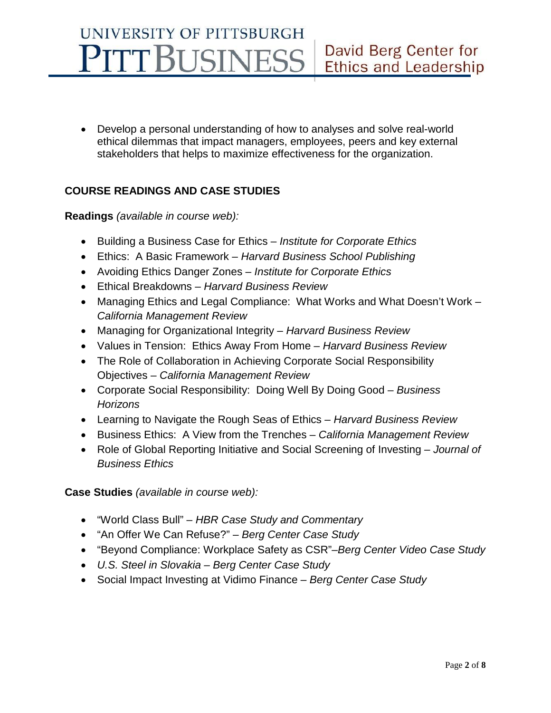• Develop a personal understanding of how to analyses and solve real-world ethical dilemmas that impact managers, employees, peers and key external stakeholders that helps to maximize effectiveness for the organization.

# **COURSE READINGS AND CASE STUDIES**

## **Readings** *(available in course web):*

- Building a Business Case for Ethics *Institute for Corporate Ethics*
- Ethics: A Basic Framework *Harvard Business School Publishing*
- Avoiding Ethics Danger Zones *Institute for Corporate Ethics*
- Ethical Breakdowns *Harvard Business Review*
- Managing Ethics and Legal Compliance: What Works and What Doesn't Work *California Management Review*
- Managing for Organizational Integrity *Harvard Business Review*
- Values in Tension: Ethics Away From Home *Harvard Business Review*
- The Role of Collaboration in Achieving Corporate Social Responsibility Objectives – *California Management Review*
- Corporate Social Responsibility: Doing Well By Doing Good *Business Horizons*
- Learning to Navigate the Rough Seas of Ethics *– Harvard Business Review*
- Business Ethics: A View from the Trenches *California Management Review*
- Role of Global Reporting Initiative and Social Screening of Investing *– Journal of Business Ethics*

**Case Studies** *(available in course web):*

- "World Class Bull" *HBR Case Study and Commentary*
- "An Offer We Can Refuse?" *Berg Center Case Study*
- "Beyond Compliance: Workplace Safety as CSR"–*Berg Center Video Case Study*
- *U.S. Steel in Slovakia – Berg Center Case Study*
- Social Impact Investing at Vidimo Finance *Berg Center Case Study*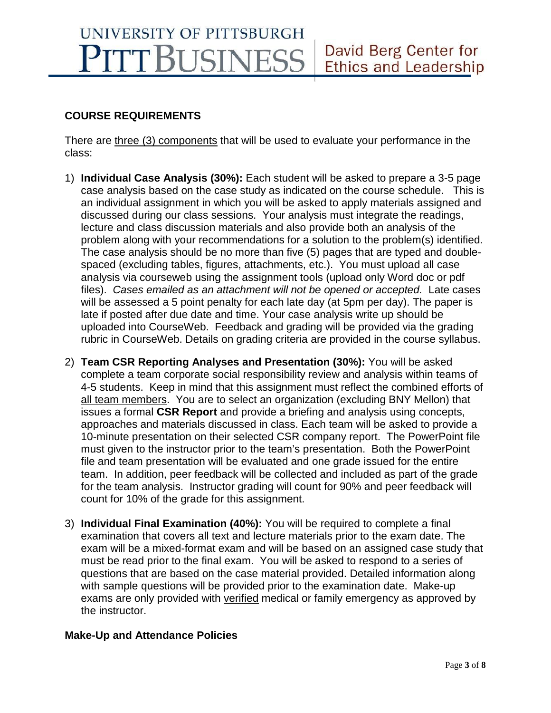# **COURSE REQUIREMENTS**

There are three (3) components that will be used to evaluate your performance in the class:

- 1) **Individual Case Analysis (30%):** Each student will be asked to prepare a 3-5 page case analysis based on the case study as indicated on the course schedule. This is an individual assignment in which you will be asked to apply materials assigned and discussed during our class sessions. Your analysis must integrate the readings, lecture and class discussion materials and also provide both an analysis of the problem along with your recommendations for a solution to the problem(s) identified. The case analysis should be no more than five (5) pages that are typed and doublespaced (excluding tables, figures, attachments, etc.). You must upload all case analysis via courseweb using the assignment tools (upload only Word doc or pdf files). *Cases emailed as an attachment will not be opened or accepted.* Late cases will be assessed a 5 point penalty for each late day (at 5pm per day). The paper is late if posted after due date and time. Your case analysis write up should be uploaded into CourseWeb. Feedback and grading will be provided via the grading rubric in CourseWeb. Details on grading criteria are provided in the course syllabus.
- 2) **Team CSR Reporting Analyses and Presentation (30%):** You will be asked complete a team corporate social responsibility review and analysis within teams of 4-5 students. Keep in mind that this assignment must reflect the combined efforts of all team members. You are to select an organization (excluding BNY Mellon) that issues a formal **CSR Report** and provide a briefing and analysis using concepts, approaches and materials discussed in class. Each team will be asked to provide a 10-minute presentation on their selected CSR company report. The PowerPoint file must given to the instructor prior to the team's presentation. Both the PowerPoint file and team presentation will be evaluated and one grade issued for the entire team. In addition, peer feedback will be collected and included as part of the grade for the team analysis. Instructor grading will count for 90% and peer feedback will count for 10% of the grade for this assignment.
- 3) **Individual Final Examination (40%):** You will be required to complete a final examination that covers all text and lecture materials prior to the exam date. The exam will be a mixed-format exam and will be based on an assigned case study that must be read prior to the final exam. You will be asked to respond to a series of questions that are based on the case material provided. Detailed information along with sample questions will be provided prior to the examination date. Make-up exams are only provided with verified medical or family emergency as approved by the instructor.

## **Make-Up and Attendance Policies**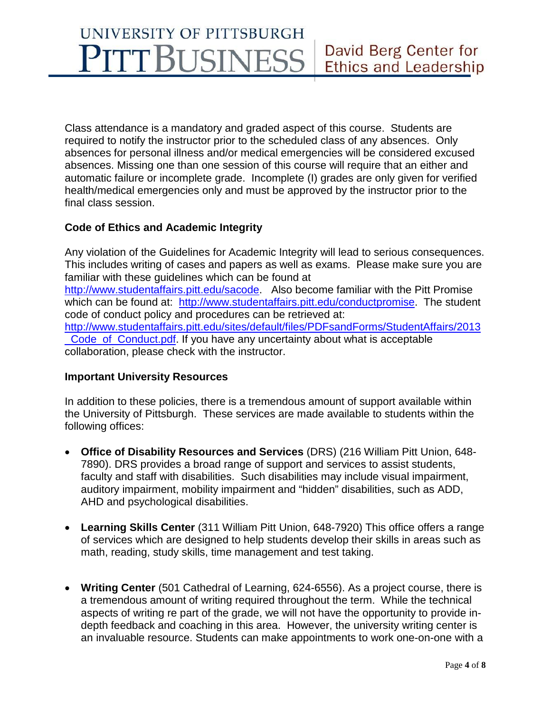Class attendance is a mandatory and graded aspect of this course. Students are required to notify the instructor prior to the scheduled class of any absences. Only absences for personal illness and/or medical emergencies will be considered excused absences. Missing one than one session of this course will require that an either and automatic failure or incomplete grade. Incomplete (I) grades are only given for verified health/medical emergencies only and must be approved by the instructor prior to the final class session.

## **Code of Ethics and Academic Integrity**

Any violation of the Guidelines for Academic Integrity will lead to serious consequences. This includes writing of cases and papers as well as exams. Please make sure you are familiar with these guidelines which can be found at [http://www.studentaffairs.pitt.edu/sacode.](http://www.studentaffairs.pitt.edu/sacode) Also become familiar with the Pitt Promise which can be found at: [http://www.studentaffairs.pitt.edu/conductpromise.](http://www.studentaffairs.pitt.edu/conductpromise) The student code of conduct policy and procedures can be retrieved at: [http://www.studentaffairs.pitt.edu/sites/default/files/PDFsandForms/StudentAffairs/2013](http://www.studentaffairs.pitt.edu/sites/default/files/PDFsandForms/StudentAffairs/2013_Code_of_Conduct.pdf) Code of Conduct.pdf. If you have any uncertainty about what is acceptable collaboration, please check with the instructor.

#### **Important University Resources**

In addition to these policies, there is a tremendous amount of support available within the University of Pittsburgh. These services are made available to students within the following offices:

- **Office of Disability Resources and Services** (DRS) (216 William Pitt Union, 648- 7890). DRS provides a broad range of support and services to assist students, faculty and staff with disabilities. Such disabilities may include visual impairment, auditory impairment, mobility impairment and "hidden" disabilities, such as ADD, AHD and psychological disabilities.
- **Learning Skills Center** (311 William Pitt Union, 648-7920) This office offers a range of services which are designed to help students develop their skills in areas such as math, reading, study skills, time management and test taking.
- **Writing Center** (501 Cathedral of Learning, 624-6556). As a project course, there is a tremendous amount of writing required throughout the term. While the technical aspects of writing re part of the grade, we will not have the opportunity to provide indepth feedback and coaching in this area. However, the university writing center is an invaluable resource. Students can make appointments to work one-on-one with a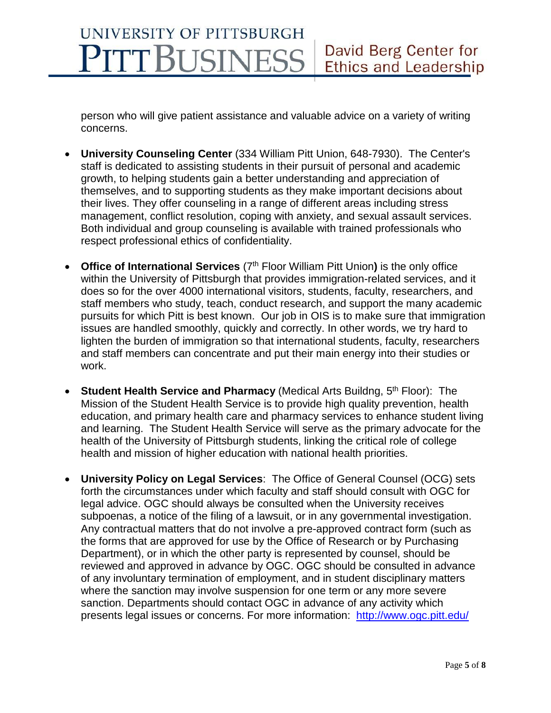person who will give patient assistance and valuable advice on a variety of writing concerns.

- **University Counseling Center** (334 William Pitt Union, 648-7930). The Center's staff is dedicated to assisting students in their pursuit of personal and academic growth, to helping students gain a better understanding and appreciation of themselves, and to supporting students as they make important decisions about their lives. They offer counseling in a range of different areas including stress management, conflict resolution, coping with anxiety, and sexual assault services. Both individual and group counseling is available with trained professionals who respect professional ethics of confidentiality.
- **Office of International Services** (7<sup>th</sup> Floor William Pitt Union) is the only office within the University of Pittsburgh that provides immigration-related services, and it does so for the over 4000 international visitors, students, faculty, researchers, and staff members who study, teach, conduct research, and support the many academic pursuits for which Pitt is best known. Our job in OIS is to make sure that immigration issues are handled smoothly, quickly and correctly. In other words, we try hard to lighten the burden of immigration so that international students, faculty, researchers and staff members can concentrate and put their main energy into their studies or work.
- **Student Health Service and Pharmacy** (Medical Arts Buildng, 5<sup>th</sup> Floor): The Mission of the Student Health Service is to provide high quality prevention, health education, and primary health care and pharmacy services to enhance student living and learning. The Student Health Service will serve as the primary advocate for the health of the University of Pittsburgh students, linking the critical role of college health and mission of higher education with national health priorities.
- **University Policy on Legal Services**: The Office of General Counsel (OCG) sets forth the circumstances under which faculty and staff should consult with OGC for legal advice. OGC should always be consulted when the University receives subpoenas, a notice of the filing of a lawsuit, or in any governmental investigation. Any contractual matters that do not involve a pre-approved contract form (such as the forms that are approved for use by the Office of Research or by Purchasing Department), or in which the other party is represented by counsel, should be reviewed and approved in advance by OGC. OGC should be consulted in advance of any involuntary termination of employment, and in student disciplinary matters where the sanction may involve suspension for one term or any more severe sanction. Departments should contact OGC in advance of any activity which presents legal issues or concerns. For more information: <http://www.ogc.pitt.edu/>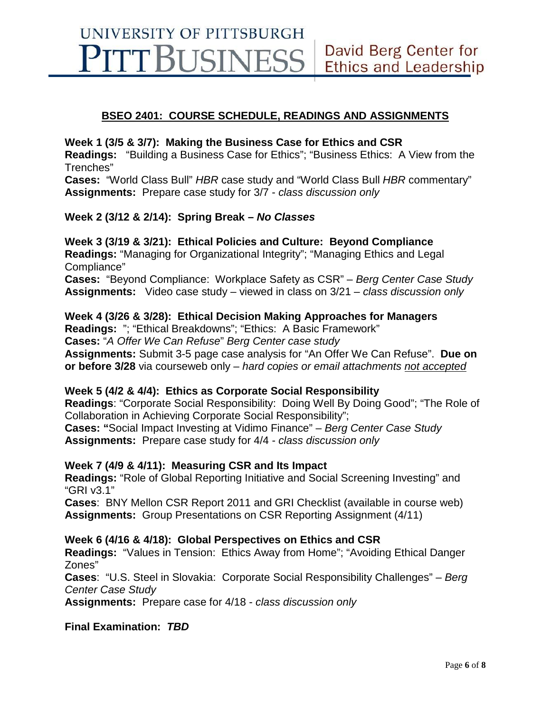## **BSEO 2401: COURSE SCHEDULE, READINGS AND ASSIGNMENTS**

#### **Week 1 (3/5 & 3/7): Making the Business Case for Ethics and CSR**

**Readings:** "Building a Business Case for Ethics"; "Business Ethics: A View from the Trenches"

**Cases:** "World Class Bull" *HBR* case study and "World Class Bull *HBR* commentary" **Assignments:** Prepare case study for 3/7 - *class discussion only*

#### **Week 2 (3/12 & 2/14): Spring Break –** *No Classes*

#### **Week 3 (3/19 & 3/21): Ethical Policies and Culture: Beyond Compliance**

**Readings:** "Managing for Organizational Integrity"; "Managing Ethics and Legal Compliance"

**Cases:** "Beyond Compliance: Workplace Safety as CSR" – *Berg Center Case Study* **Assignments:** Video case study – viewed in class on 3/21 – *class discussion only*

#### **Week 4 (3/26 & 3/28): Ethical Decision Making Approaches for Managers**

**Readings:** "; "Ethical Breakdowns"; "Ethics: A Basic Framework"

**Cases:** "*A Offer We Can Refuse*" *Berg Center case study*

**Assignments:** Submit 3-5 page case analysis for "An Offer We Can Refuse". **Due on or before 3/28** via courseweb only – *hard copies or email attachments not accepted*

#### **Week 5 (4/2 & 4/4): Ethics as Corporate Social Responsibility**

**Readings**: "Corporate Social Responsibility: Doing Well By Doing Good"; "The Role of Collaboration in Achieving Corporate Social Responsibility";

**Cases: "**Social Impact Investing at Vidimo Finance" – *Berg Center Case Study* **Assignments:** Prepare case study for 4/4 - *class discussion only*

#### **Week 7 (4/9 & 4/11): Measuring CSR and Its Impact**

**Readings:** "Role of Global Reporting Initiative and Social Screening Investing" and "GRI v3.1"

**Cases**: BNY Mellon CSR Report 2011 and GRI Checklist (available in course web) **Assignments:** Group Presentations on CSR Reporting Assignment (4/11)

#### **Week 6 (4/16 & 4/18): Global Perspectives on Ethics and CSR**

**Readings:** "Values in Tension: Ethics Away from Home"; "Avoiding Ethical Danger Zones"

**Cases**: "U.S. Steel in Slovakia: Corporate Social Responsibility Challenges" – *Berg Center Case Study*

**Assignments:** Prepare case for 4/18 - *class discussion only*

**Final Examination:** *TBD*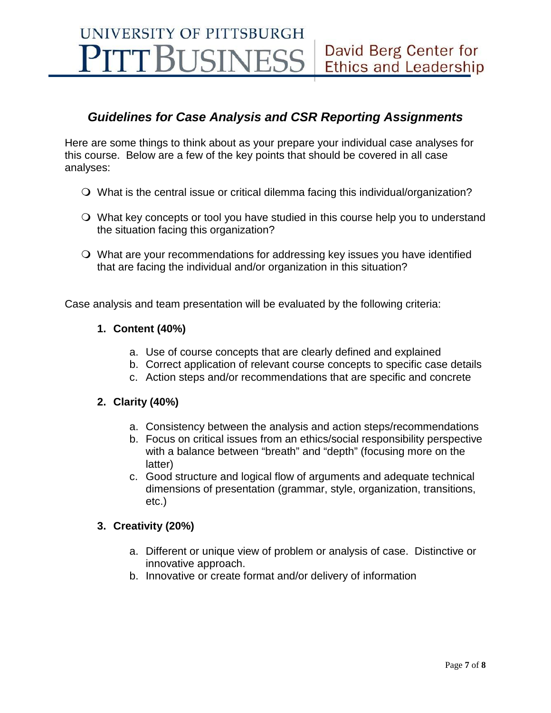# *Guidelines for Case Analysis and CSR Reporting Assignments*

Here are some things to think about as your prepare your individual case analyses for this course. Below are a few of the key points that should be covered in all case analyses:

- What is the central issue or critical dilemma facing this individual/organization?
- What key concepts or tool you have studied in this course help you to understand the situation facing this organization?
- What are your recommendations for addressing key issues you have identified that are facing the individual and/or organization in this situation?

Case analysis and team presentation will be evaluated by the following criteria:

## **1. Content (40%)**

- a. Use of course concepts that are clearly defined and explained
- b. Correct application of relevant course concepts to specific case details
- c. Action steps and/or recommendations that are specific and concrete

#### **2. Clarity (40%)**

- a. Consistency between the analysis and action steps/recommendations
- b. Focus on critical issues from an ethics/social responsibility perspective with a balance between "breath" and "depth" (focusing more on the latter)
- c. Good structure and logical flow of arguments and adequate technical dimensions of presentation (grammar, style, organization, transitions, etc.)

## **3. Creativity (20%)**

- a. Different or unique view of problem or analysis of case. Distinctive or innovative approach.
- b. Innovative or create format and/or delivery of information